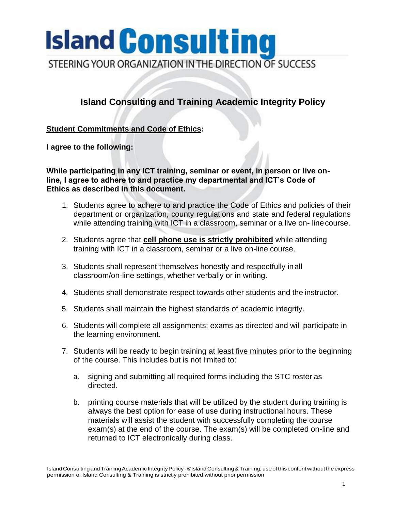# **Island Consulting**

STEERING YOUR ORGANIZATION IN THE DIRECTION OF SUCCESS

## **Island Consulting and Training Academic Integrity Policy**

### **Student Commitments and Code of Ethics:**

**I agree to the following:**

**While participating in any ICT training, seminar or event, in person or live online, I agree to adhere to and practice my departmental and ICT's Code of Ethics as described in this document.**

- 1. Students agree to adhere to and practice the Code of Ethics and policies of their department or organization, county regulations and state and federal regulations while attending training with ICT in a classroom, seminar or a live on-line course.
- 2. Students agree that **cell phone use is strictly prohibited** while attending training with ICT in a classroom, seminar or a live on-line course.
- 3. Students shall represent themselves honestly and respectfully inall classroom/on-line settings, whether verbally or in writing.
- 4. Students shall demonstrate respect towards other students and the instructor.
- 5. Students shall maintain the highest standards of academic integrity.
- 6. Students will complete all assignments; exams as directed and will participate in the learning environment.
- 7. Students will be ready to begin training at least five minutes prior to the beginning of the course. This includes but is not limited to:
	- a. signing and submitting all required forms including the STC roster as directed.
	- b. printing course materials that will be utilized by the student during training is always the best option for ease of use during instructional hours. These materials will assist the student with successfully completing the course exam(s) at the end of the course. The exam(s) will be completed on-line and returned to ICT electronically during class.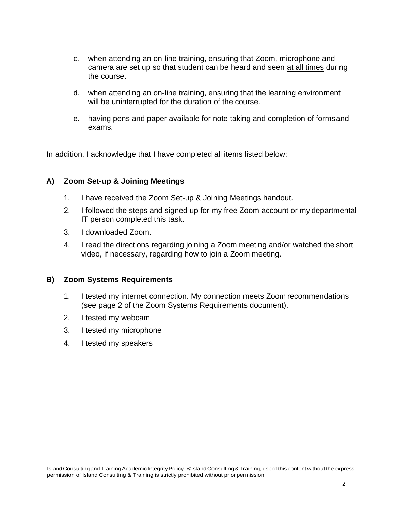- c. when attending an on-line training, ensuring that Zoom, microphone and camera are set up so that student can be heard and seen at all times during the course.
- d. when attending an on-line training, ensuring that the learning environment will be uninterrupted for the duration of the course.
- e. having pens and paper available for note taking and completion of formsand exams.

In addition, I acknowledge that I have completed all items listed below:

#### **A) Zoom Set-up & Joining Meetings**

- 1. I have received the Zoom Set-up & Joining Meetings handout.
- 2. I followed the steps and signed up for my free Zoom account or my departmental IT person completed this task.
- 3. I downloaded Zoom.
- 4. I read the directions regarding joining a Zoom meeting and/or watched the short video, if necessary, regarding how to join a Zoom meeting.

#### **B) Zoom Systems Requirements**

- 1. I tested my internet connection. My connection meets Zoom recommendations (see page 2 of the Zoom Systems Requirements document).
- 2. I tested my webcam
- 3. I tested my microphone
- 4. I tested my speakers